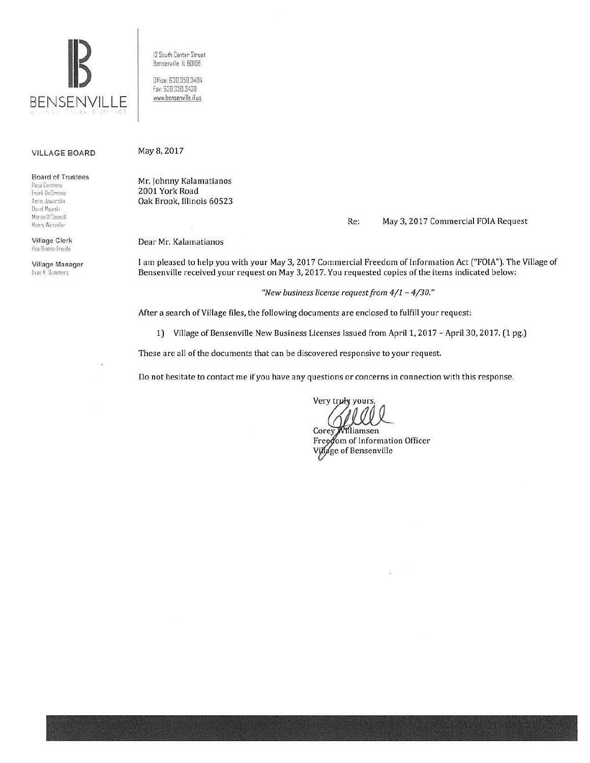

12 South Center Street Bensenville, IL 60106

Office: 630.350.3404 Fax: 630.350.3438 www.bensenville.il.us

## **VILLAGE BOARD**

**Board of Trustees** 

Rosa Carmona Frank DeSimone Annie Jawerska David Majeski Martin U'Connell Henry Wesseler

**Village Clerk** Ilsa Rivera-Trupilo

Village Manager Evan K. Summers

May 8, 2017

Mr. Johnny Kalamatianos 2001 York Road Oak Brook, Illinois 60523

> Re: May 3, 2017 Commercial FOIA Request

Dear Mr. Kalamatianos

I am pleased to help you with your May 3, 2017 Commercial Freedom of Information Act ("FOIA"). The Village of Bensenville received your request on May 3, 2017. You requested copies of the items indicated below:

"New business license request from  $4/1 - 4/30$ ."

After a search of Village files, the following documents are enclosed to fulfill your request:

1) Village of Bensenville New Business Licenses Issued from April 1, 2017 - April 30, 2017. (1 pg.)

These are all of the documents that can be discovered responsive to your request.

Do not hesitate to contact me if you have any questions or concerns in connection with this response.

Very truly yours,

Corey Williamsen Freedom of Information Officer Village of Bensenville